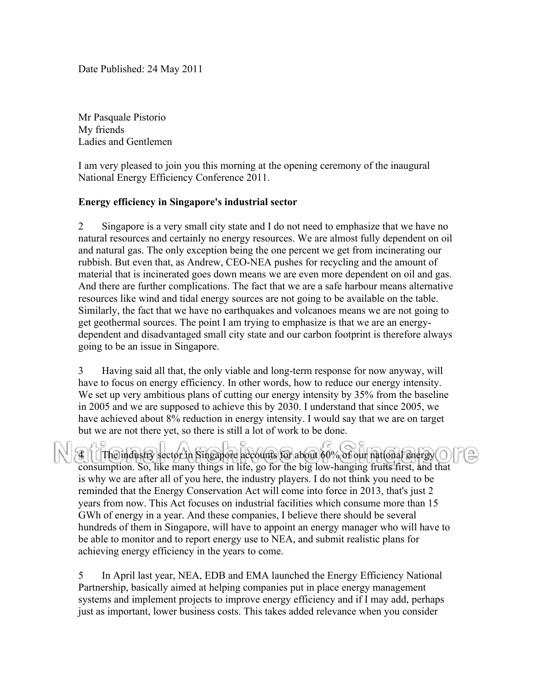Date Published: 24 May 2011

Mr Pasquale Pistorio My friends Ladies and Gentlemen

I am very pleased to join you this morning at the opening ceremony of the inaugural National Energy Efficiency Conference 2011.

## **Energy efficiency in Singapore's industrial sector**

2 Singapore is a very small city state and I do not need to emphasize that we have no natural resources and certainly no energy resources. We are almost fully dependent on oil and natural gas. The only exception being the one percent we get from incinerating our rubbish. But even that, as Andrew, CEO-NEA pushes for recycling and the amount of material that is incinerated goes down means we are even more dependent on oil and gas. And there are further complications. The fact that we are a safe harbour means alternative resources like wind and tidal energy sources are not going to be available on the table. Similarly, the fact that we have no earthquakes and volcanoes means we are not going to get geothermal sources. The point I am trying to emphasize is that we are an energydependent and disadvantaged small city state and our carbon footprint is therefore always going to be an issue in Singapore.

3 Having said all that, the only viable and long-term response for now anyway, will have to focus on energy efficiency. In other words, how to reduce our energy intensity. We set up very ambitious plans of cutting our energy intensity by 35% from the baseline in 2005 and we are supposed to achieve this by 2030. I understand that since 2005, we have achieved about 8% reduction in energy intensity. I would say that we are on target but we are not there yet, so there is still a lot of work to be done.

The industry sector in Singapore accounts for about 60% of our national energy O consumption. So, like many things in life, go for the big low-hanging fruits first, and that is why we are after all of you here, the industry players. I do not think you need to be reminded that the Energy Conservation Act will come into force in 2013, that's just 2 years from now. This Act focuses on industrial facilities which consume more than 15 GWh of energy in a year. And these companies, I believe there should be several hundreds of them in Singapore, will have to appoint an energy manager who will have to be able to monitor and to report energy use to NEA, and submit realistic plans for achieving energy efficiency in the years to come.

5 In April last year, NEA, EDB and EMA launched the Energy Efficiency National Partnership, basically aimed at helping companies put in place energy management systems and implement projects to improve energy efficiency and if I may add, perhaps just as important, lower business costs. This takes added relevance when you consider